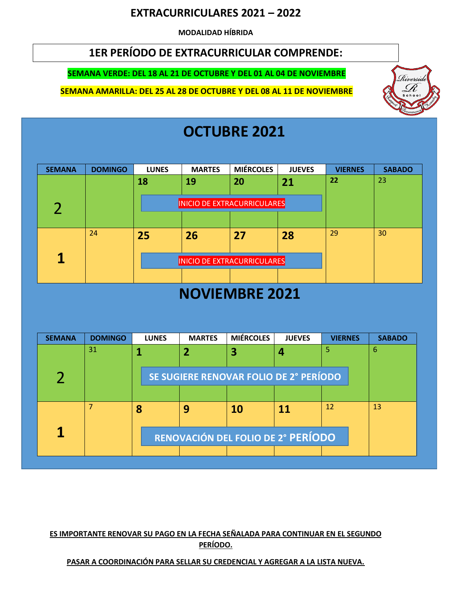#### **EXTRACURRICULARES 2021 – 2022**

**MODALIDAD HÍBRIDA**

### **1ER PERÍODO DE EXTRACURRICULAR COMPRENDE:**

#### **SEMANA VERDE: DEL 18 AL 21 DE OCTUBRE Y DEL 01 AL 04 DE NOVIEMBRE**

**SEMANA AMARILLA: DEL 25 AL 28 DE OCTUBRE Y DEL 08 AL 11 DE NOVIEMBRE** 



# **OCTUBRE 2021**

| <b>SEMANA</b> | <b>DOMINGO</b> | <b>LUNES</b> | <b>MARTES</b>                      | <b>MIÉRCOLES</b> | <b>JUEVES</b> | <b>VIERNES</b> | <b>SABADO</b> |
|---------------|----------------|--------------|------------------------------------|------------------|---------------|----------------|---------------|
|               |                | 18           | 19                                 | 20               | 21            | 22             | 23            |
|               |                |              | <b>INICIO DE EXTRACURRICULARES</b> |                  |               |                |               |
|               |                |              |                                    |                  |               |                |               |
|               | 24             | 25           | 26                                 | 27               | 28            | 29             | 30            |
|               |                |              |                                    |                  |               |                |               |
| 1             |                |              | <b>INICIO DE EXTRACURRICULARES</b> |                  |               |                |               |
|               |                |              |                                    |                  |               |                |               |

### **NOVIEMBRE 2021**

| 5                                      |    |  |  |  |  |  |  |  |
|----------------------------------------|----|--|--|--|--|--|--|--|
| 4                                      | 6  |  |  |  |  |  |  |  |
|                                        |    |  |  |  |  |  |  |  |
| SE SUGIERE RENOVAR FOLIO DE 2° PERÍODO |    |  |  |  |  |  |  |  |
|                                        |    |  |  |  |  |  |  |  |
| 12<br>11                               | 13 |  |  |  |  |  |  |  |
|                                        |    |  |  |  |  |  |  |  |
| RENOVACIÓN DEL FOLIO DE 2° PERÍODO     |    |  |  |  |  |  |  |  |
|                                        |    |  |  |  |  |  |  |  |
|                                        |    |  |  |  |  |  |  |  |

#### **ES IMPORTANTE RENOVAR SU PAGO EN LA FECHA SEÑALADA PARA CONTINUAR EN EL SEGUNDO PERÍODO.**

#### **PASAR A COORDINACIÓN PARA SELLAR SU CREDENCIAL Y AGREGAR A LA LISTA NUEVA.**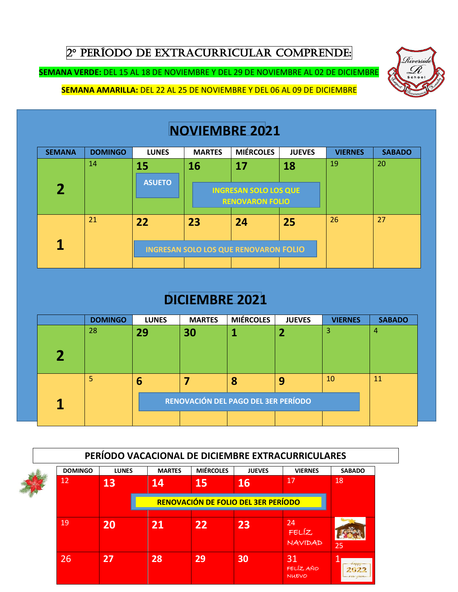2° PERÍODO DE EXTRACURRICULAR COMPRENDE:

**SEMANA VERDE:** DEL 15 AL 18 DE NOVIEMBRE Y DEL 29 DE NOVIEMBRE AL 02 DE DICIEMBRE

**SEMANA AMARILLA:** DEL 22 AL 25 DE NOVIEMBRE Y DEL 06 AL 09 DE DICIEMBRE

# **NOVIEMBRE 2021**

Riversia

| <b>SEMANA</b> | <b>DOMINGO</b> | <b>LUNES</b>                                 | <b>MARTES</b> | <b>MIÉRCOLES</b>             | <b>JUEVES</b> | <b>VIERNES</b> | <b>SABADO</b> |
|---------------|----------------|----------------------------------------------|---------------|------------------------------|---------------|----------------|---------------|
|               | 14             | 15                                           | 16            | 17                           | 18            | 19             | 20            |
|               |                | <b>ASUETO</b>                                |               |                              |               |                |               |
|               |                |                                              |               | <b>INGRESAN SOLO LOS QUE</b> |               |                |               |
|               |                |                                              |               | <b>RENOVARON FOLIO</b>       |               |                |               |
|               | 21             | 22                                           | 23            | 24                           | 25            | 26             | 27            |
|               |                |                                              |               |                              |               |                |               |
| 1             |                | <b>INGRESAN SOLO LOS QUE RENOVARON FOLIO</b> |               |                              |               |                |               |
|               |                |                                              |               |                              |               |                |               |

# **DICIEMBRE 2021**

| <b>DOMINGO</b>                      | <b>LUNES</b> | <b>MARTES</b> | <b>MIÉRCOLES</b> | <b>JUEVES</b> | <b>VIERNES</b> | <b>SABADO</b> |  |
|-------------------------------------|--------------|---------------|------------------|---------------|----------------|---------------|--|
| 28                                  | 29           | 30            |                  |               | 3              | 4             |  |
|                                     |              |               |                  |               |                |               |  |
| 5                                   | 6            |               | 8                |               | <b>10</b>      | 11            |  |
| RENOVACIÓN DEL PAGO DEL 3ER PERÍODO |              |               |                  |               |                |               |  |
|                                     |              |               |                  |               |                |               |  |

| PERÍODO VACACIONAL DE DICIEMBRE EXTRACURRICULARES |              |               |                                     |               |                                 |               |  |  |  |
|---------------------------------------------------|--------------|---------------|-------------------------------------|---------------|---------------------------------|---------------|--|--|--|
| <b>DOMINGO</b>                                    | <b>LUNES</b> | <b>MARTES</b> | <b>MIÉRCOLES</b>                    | <b>JUEVES</b> | <b>VIERNES</b>                  | <b>SABADO</b> |  |  |  |
| 12                                                | 13           | 14            | 15                                  | 16            | 17                              | 18            |  |  |  |
|                                                   |              |               | RENOVACIÓN DE FOLIO DEL 3ER PERÍODO |               |                                 |               |  |  |  |
| 19                                                | 20           | 21            | 22                                  | 23            | 24<br><b>FELÍZ</b><br>NAVIDAD   | 25            |  |  |  |
| 26                                                | 27           | 28            | 29                                  | 30            | 31<br>FELÍZ AÑO<br><b>NUEVO</b> | $-124110661$  |  |  |  |